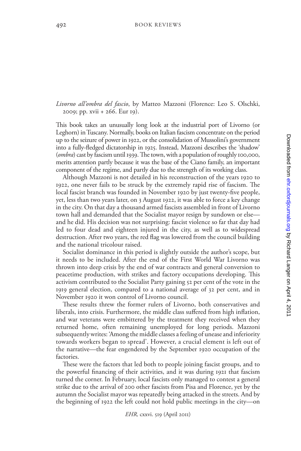*Livorno all'ombra del fascio*, by Matteo Mazzoni (Florence: Leo S. Olschki, 2009; pp. xvii + 266. Eur 19).

This book takes an unusually long look at the industrial port of Livorno (or Leghorn) in Tuscany. Normally, books on Italian fascism concentrate on the period up to the seizure of power in 1922, or the consolidation of Mussolini's government into a fully-fledged dictatorship in 1925. Instead, Mazzoni describes the 'shadow' (*ombra*) cast by fascism until 1939. The town, with a population of roughly 100,000, merits attention partly because it was the base of the Ciano family, an important component of the regime, and partly due to the strength of its working class.

Although Mazzoni is not detailed in his reconstruction of the years 1920 to 1922, one never fails to be struck by the extremely rapid rise of fascism. The local fascist branch was founded in November 1920 by just twenty-five people, yet, less than two years later, on 3 August 1922, it was able to force a key change in the city. On that day a thousand armed fascists assembled in front of Livorno town hall and demanded that the Socialist mayor resign by sundown or else and he did. His decision was not surprising: fascist violence so far that day had led to four dead and eighteen injured in the city, as well as to widespread destruction. After two years, the red flag was lowered from the council building and the national tricolour raised.

Socialist dominance in this period is slightly outside the author's scope, but it needs to be included. After the end of the First World War Livorno was thrown into deep crisis by the end of war contracts and general conversion to peacetime production, with strikes and factory occupations developing. This activism contributed to the Socialist Party gaining 52 per cent of the vote in the 1919 general election, compared to a national average of 32 per cent, and in November 1920 it won control of Livorno council.

These results threw the former rulers of Livorno, both conservatives and liberals, into crisis. Furthermore, the middle class suffered from high inflation, and war veterans were embittered by the treatment they received when they returned home, often remaining unemployed for long periods. Mazzoni subsequently writes: 'Among the middle classes a feeling of unease and inferiority towards workers began to spread'. However, a crucial element is left out of the narrative—the fear engendered by the September 1920 occupation of the factories.

These were the factors that led both to people joining fascist groups, and to the powerful financing of their activities, and it was during 1921 that fascism turned the corner. In February, local fascists only managed to contest a general strike due to the arrival of 200 other fascists from Pisa and Florence, yet by the autumn the Socialist mayor was repeatedly being attacked in the streets. And by the beginning of 1922 the left could not hold public meetings in the city—on